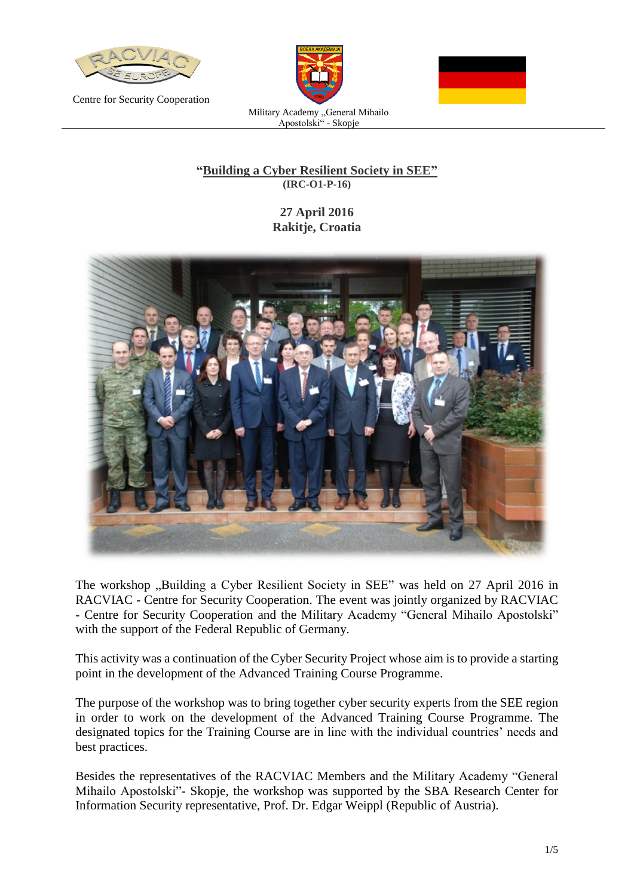

Centre for Security Cooperation





Military Academy "General Mihailo Apostolski" - Skopje

## **"Building a Cyber Resilient Society in SEE" (IRC-O1-P-16)**

# **27 April 2016 Rakitje, Croatia**



The workshop "Building a Cyber Resilient Society in SEE" was held on 27 April 2016 in RACVIAC - Centre for Security Cooperation. The event was jointly organized by RACVIAC - Centre for Security Cooperation and the Military Academy "General Mihailo Apostolski" with the support of the Federal Republic of Germany.

This activity was a continuation of the Cyber Security Project whose aim is to provide a starting point in the development of the Advanced Training Course Programme.

The purpose of the workshop was to bring together cyber security experts from the SEE region in order to work on the development of the Advanced Training Course Programme. The designated topics for the Training Course are in line with the individual countries' needs and best practices.

Besides the representatives of the RACVIAC Members and the Military Academy "General Mihailo Apostolski"- Skopje, the workshop was supported by the SBA Research Center for Information Security representative, Prof. Dr. Edgar Weippl (Republic of Austria).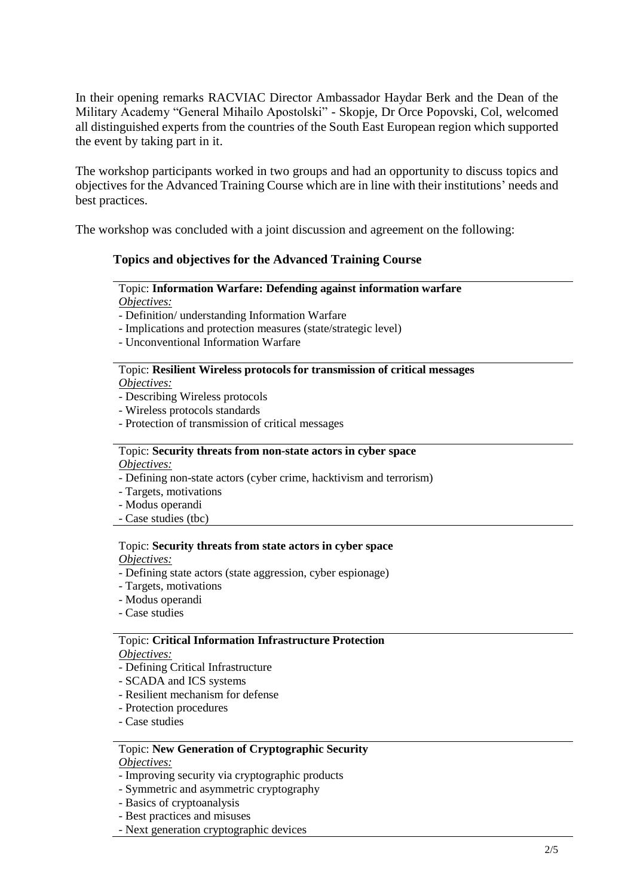In their opening remarks RACVIAC Director Ambassador Haydar Berk and the Dean of the Military Academy "General Mihailo Apostolski" - Skopje, Dr Orce Popovski, Col, welcomed all distinguished experts from the countries of the South East European region which supported the event by taking part in it.

The workshop participants worked in two groups and had an opportunity to discuss topics and objectives for the Advanced Training Course which are in line with their institutions' needs and best practices.

The workshop was concluded with a joint discussion and agreement on the following:

## **Topics and objectives for the Advanced Training Course**

#### Topic: **Information Warfare: Defending against information warfare** *Objectives:*

- Definition/ understanding Information Warfare

- Implications and protection measures (state/strategic level)
- Unconventional Information Warfare

# Topic: **Resilient Wireless protocols for transmission of critical messages**

*Objectives:*

- Describing Wireless protocols
- Wireless protocols standards
- Protection of transmission of critical messages

## Topic: **Security threats from non-state actors in cyber space**

*Objectives:*

- Defining non-state actors (cyber crime, hacktivism and terrorism)
- Targets, motivations
- Modus operandi
- Case studies (tbc)

#### Topic: **Security threats from state actors in cyber space**

*Objectives:*

- Defining state actors (state aggression, cyber espionage)
- Targets, motivations
- Modus operandi
- Case studies

#### Topic: **Critical Information Infrastructure Protection**

*Objectives:*

- Defining Critical Infrastructure
- SCADA and ICS systems
- Resilient mechanism for defense
- Protection procedures
- Case studies

#### Topic: **New Generation of Cryptographic Security**

*Objectives:*

- Improving security via cryptographic products
- Symmetric and asymmetric cryptography
- Basics of cryptoanalysis
- Best practices and misuses
- Next generation cryptographic devices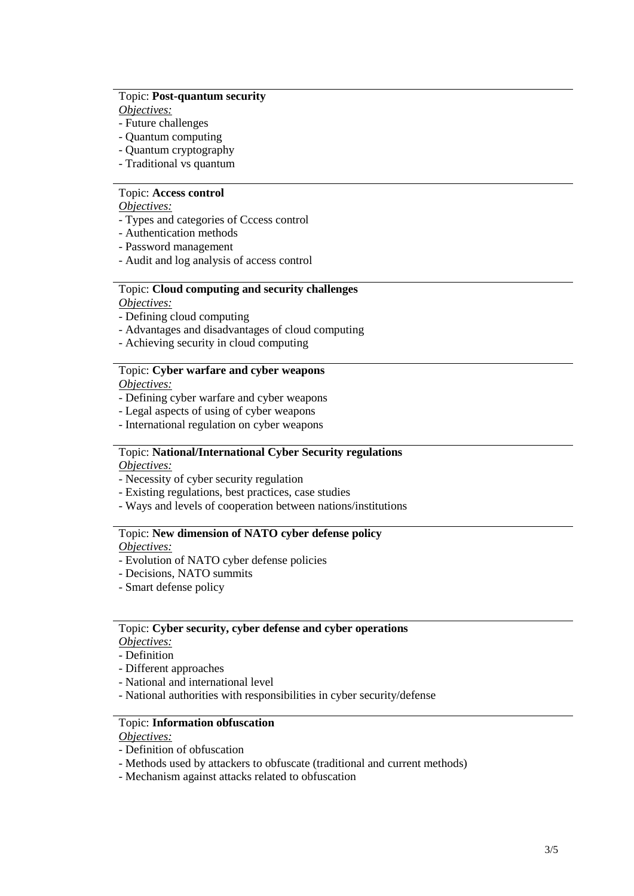#### Topic: **Post-quantum security**

*Objectives:*

- Future challenges
- Quantum computing
- Quantum cryptography
- Traditional vs quantum

### Topic: **Access control**

*Objectives:*

- Types and categories of Cccess control
- Authentication methods
- Password management
- Audit and log analysis of access control

#### Topic: **Cloud computing and security challenges**

*Objectives:*

- Defining cloud computing
- Advantages and disadvantages of cloud computing
- Achieving security in cloud computing

#### Topic: **Cyber warfare and cyber weapons**

*Objectives:*

- Defining cyber warfare and cyber weapons
- Legal aspects of using of cyber weapons
- International regulation on cyber weapons

## Topic: **National/International Cyber Security regulations**

*Objectives:*

- Necessity of cyber security regulation
- Existing regulations, best practices, case studies
- Ways and levels of cooperation between nations/institutions

#### Topic: **New dimension of NATO cyber defense policy**

*Objectives:*

- Evolution of NATO cyber defense policies
- Decisions, NATO summits
- Smart defense policy

#### Topic: **Cyber security, cyber defense and cyber operations**

- *Objectives:*
- Definition
- Different approaches
- National and international level
- National authorities with responsibilities in cyber security/defense

#### Topic: **Information obfuscation**

*Objectives:*

- Definition of obfuscation
- Methods used by attackers to obfuscate (traditional and current methods)
- Mechanism against attacks related to obfuscation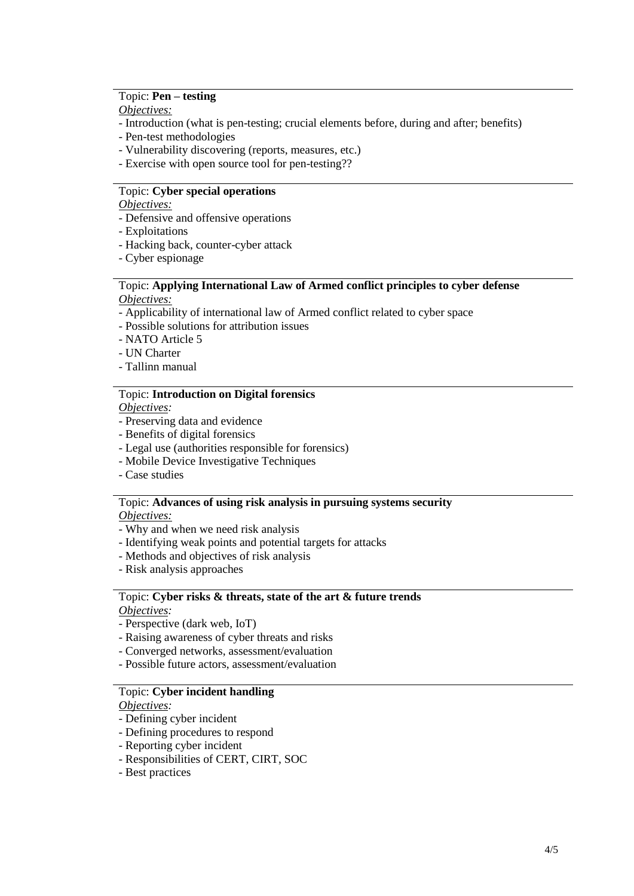#### Topic: **Pen – testing**

*Objectives:*

- Introduction (what is pen-testing; crucial elements before, during and after; benefits)
- Pen-test methodologies
- Vulnerability discovering (reports, measures, etc.)
- Exercise with open source tool for pen-testing??

#### Topic: **Cyber special operations**

*Objectives:*

- Defensive and offensive operations
- Exploitations
- Hacking back, counter-cyber attack
- Cyber espionage

#### Topic: **Applying International Law of Armed conflict principles to cyber defense** *Objectives:*

- Applicability of international law of Armed conflict related to cyber space
- Possible solutions for attribution issues
- NATO Article 5
- UN Charter
- Tallinn manual

## Topic: **Introduction on Digital forensics**

*Objectives:*

- Preserving data and evidence
- Benefits of digital forensics
- Legal use (authorities responsible for forensics)
- Mobile Device Investigative Techniques
- Case studies

## Topic: **Advances of using risk analysis in pursuing systems security**

*Objectives:*

- Why and when we need risk analysis
- Identifying weak points and potential targets for attacks
- Methods and objectives of risk analysis
- Risk analysis approaches

#### Topic: **Cyber risks & threats, state of the art & future trends** *Objectives:*

- Perspective (dark web, IoT)
- Raising awareness of cyber threats and risks
- Converged networks, assessment/evaluation
- Possible future actors, assessment/evaluation

#### Topic: **Cyber incident handling**

*Objectives:*

- Defining cyber incident
- Defining procedures to respond
- Reporting cyber incident
- Responsibilities of CERT, CIRT, SOC
- Best practices